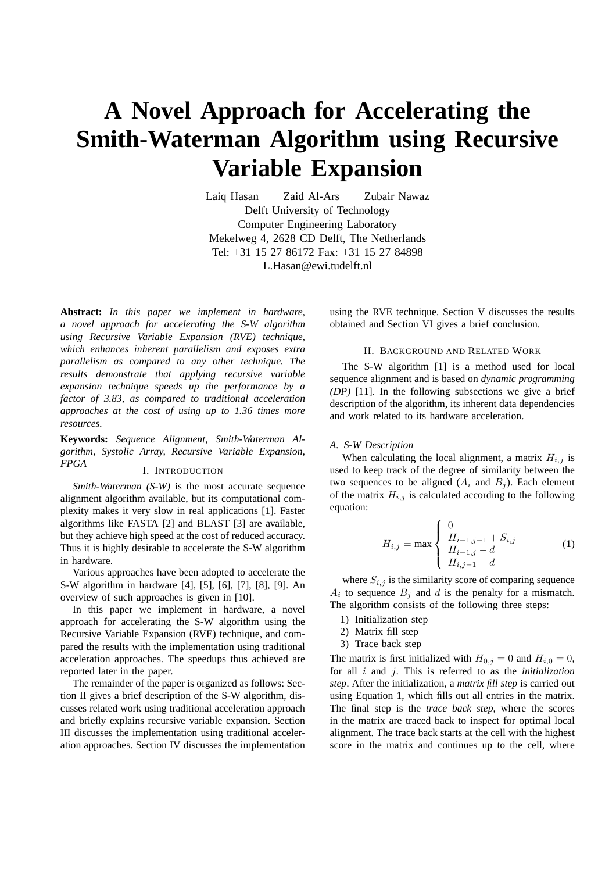# **A Novel Approach for Accelerating the Smith-Waterman Algorithm using Recursive Variable Expansion**

Laiq Hasan Zaid Al-Ars Zubair Nawaz Delft University of Technology Computer Engineering Laboratory Mekelweg 4, 2628 CD Delft, The Netherlands Tel: +31 15 27 86172 Fax: +31 15 27 84898 L.Hasan@ewi.tudelft.nl

**Abstract:** *In this paper we implement in hardware, a novel approach for accelerating the S-W algorithm using Recursive Variable Expansion (RVE) technique, which enhances inherent parallelism and exposes extra parallelism as compared to any other technique. The results demonstrate that applying recursive variable expansion technique speeds up the performance by a factor of 3.83, as compared to traditional acceleration approaches at the cost of using up to 1.36 times more resources.*

**Keywords:** *Sequence Alignment, Smith-Waterman Algorithm, Systolic Array, Recursive Variable Expansion, FPGA*

## I. INTRODUCTION

*Smith-Waterman (S-W)* is the most accurate sequence alignment algorithm available, but its computational complexity makes it very slow in real applications [1]. Faster algorithms like FASTA [2] and BLAST [3] are available, but they achieve high speed at the cost of reduced accuracy. Thus it is highly desirable to accelerate the S-W algorithm in hardware.

Various approaches have been adopted to accelerate the S-W algorithm in hardware [4], [5], [6], [7], [8], [9]. An overview of such approaches is given in [10].

In this paper we implement in hardware, a novel approach for accelerating the S-W algorithm using the Recursive Variable Expansion (RVE) technique, and compared the results with the implementation using traditional acceleration approaches. The speedups thus achieved are reported later in the paper.

The remainder of the paper is organized as follows: Section II gives a brief description of the S-W algorithm, discusses related work using traditional acceleration approach and briefly explains recursive variable expansion. Section III discusses the implementation using traditional acceleration approaches. Section IV discusses the implementation using the RVE technique. Section V discusses the results obtained and Section VI gives a brief conclusion.

### II. BACKGROUND AND RELATED WORK

The S-W algorithm [1] is a method used for local sequence alignment and is based on *dynamic programming (DP)* [11]. In the following subsections we give a brief description of the algorithm, its inherent data dependencies and work related to its hardware acceleration.

#### *A. S-W Description*

When calculating the local alignment, a matrix  $H_{i,j}$  is used to keep track of the degree of similarity between the two sequences to be aligned  $(A_i \text{ and } B_j)$ . Each element of the matrix  $H_{i,j}$  is calculated according to the following equation:  $\overline{a}$ 

$$
H_{i,j} = \max \begin{cases} 0 & \text{if } H_{i-1,j-1} + S_{i,j} \\ H_{i-1,j} - d & \text{if } H_{i,j-1} - d \end{cases}
$$
 (1)

where  $S_{i,j}$  is the similarity score of comparing sequence  $A_i$  to sequence  $B_j$  and d is the penalty for a mismatch. The algorithm consists of the following three steps:

- 1) Initialization step
- 2) Matrix fill step
- 3) Trace back step

The matrix is first initialized with  $H_{0,j} = 0$  and  $H_{i,0} = 0$ , for all i and j. This is referred to as the *initialization step*. After the initialization, a *matrix fill step* is carried out using Equation 1, which fills out all entries in the matrix. The final step is the *trace back step*, where the scores in the matrix are traced back to inspect for optimal local alignment. The trace back starts at the cell with the highest score in the matrix and continues up to the cell, where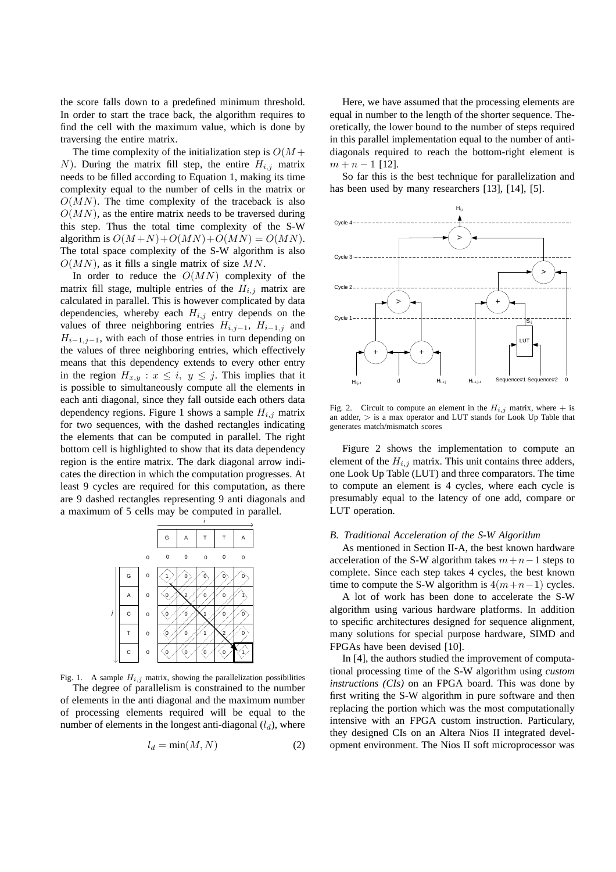the score falls down to a predefined minimum threshold. In order to start the trace back, the algorithm requires to find the cell with the maximum value, which is done by traversing the entire matrix.

The time complexity of the initialization step is  $O(M +$ N). During the matrix fill step, the entire  $H_{i,j}$  matrix needs to be filled according to Equation 1, making its time complexity equal to the number of cells in the matrix or  $O(MN)$ . The time complexity of the traceback is also  $O(MN)$ , as the entire matrix needs to be traversed during this step. Thus the total time complexity of the S-W algorithm is  $O(M+N) + O(MN) + O(MN) = O(MN)$ . The total space complexity of the S-W algorithm is also  $O(MN)$ , as it fills a single matrix of size MN.

In order to reduce the  $O(MN)$  complexity of the matrix fill stage, multiple entries of the  $H_{i,j}$  matrix are calculated in parallel. This is however complicated by data dependencies, whereby each  $H_{i,j}$  entry depends on the values of three neighboring entries  $H_{i,j-1}$ ,  $H_{i-1,j}$  and  $H_{i-1,j-1}$ , with each of those entries in turn depending on the values of three neighboring entries, which effectively means that this dependency extends to every other entry in the region  $H_{x,y}$ :  $x \leq i, y \leq j$ . This implies that it is possible to simultaneously compute all the elements in each anti diagonal, since they fall outside each others data dependency regions. Figure 1 shows a sample  $H_{i,j}$  matrix for two sequences, with the dashed rectangles indicating the elements that can be computed in parallel. The right bottom cell is highlighted to show that its data dependency region is the entire matrix. The dark diagonal arrow indicates the direction in which the computation progresses. At least 9 cycles are required for this computation, as there are 9 dashed rectangles representing 9 anti diagonals and a maximum of 5 cells may be computed in parallel.



Fig. 1. A sample  $H_{i,j}$  matrix, showing the parallelization possibilities The degree of parallelism is constrained to the number of elements in the anti diagonal and the maximum number of processing elements required will be equal to the number of elements in the longest anti-diagonal  $(l_d)$ , where

$$
l_d = \min(M, N) \tag{2}
$$

Here, we have assumed that the processing elements are equal in number to the length of the shorter sequence. Theoretically, the lower bound to the number of steps required in this parallel implementation equal to the number of antidiagonals required to reach the bottom-right element is  $m + n - 1$  [12].

So far this is the best technique for parallelization and has been used by many researchers [13], [14], [5].



Fig. 2. Circuit to compute an element in the  $H_{i,j}$  matrix, where  $+$  is an adder,  $>$  is a max operator and LUT stands for Look Up Table that generates match/mismatch scores

Figure 2 shows the implementation to compute an element of the  $H_{i,j}$  matrix. This unit contains three adders, one Look Up Table (LUT) and three comparators. The time to compute an element is 4 cycles, where each cycle is presumably equal to the latency of one add, compare or LUT operation.

## *B. Traditional Acceleration of the S-W Algorithm*

As mentioned in Section II-A, the best known hardware acceleration of the S-W algorithm takes  $m+n-1$  steps to complete. Since each step takes 4 cycles, the best known time to compute the S-W algorithm is  $4(m+n-1)$  cycles.

A lot of work has been done to accelerate the S-W algorithm using various hardware platforms. In addition to specific architectures designed for sequence alignment, many solutions for special purpose hardware, SIMD and FPGAs have been devised [10].

In [4], the authors studied the improvement of computational processing time of the S-W algorithm using *custom instructions (CIs)* on an FPGA board. This was done by first writing the S-W algorithm in pure software and then replacing the portion which was the most computationally intensive with an FPGA custom instruction. Particulary, they designed CIs on an Altera Nios II integrated development environment. The Nios II soft microprocessor was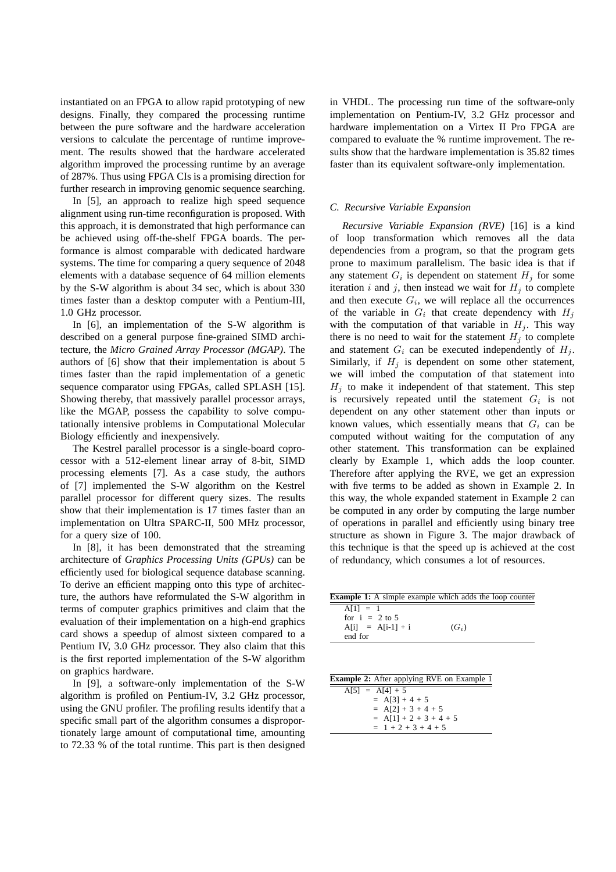instantiated on an FPGA to allow rapid prototyping of new designs. Finally, they compared the processing runtime between the pure software and the hardware acceleration versions to calculate the percentage of runtime improvement. The results showed that the hardware accelerated algorithm improved the processing runtime by an average of 287%. Thus using FPGA CIs is a promising direction for further research in improving genomic sequence searching.

In [5], an approach to realize high speed sequence alignment using run-time reconfiguration is proposed. With this approach, it is demonstrated that high performance can be achieved using off-the-shelf FPGA boards. The performance is almost comparable with dedicated hardware systems. The time for comparing a query sequence of 2048 elements with a database sequence of 64 million elements by the S-W algorithm is about 34 sec, which is about 330 times faster than a desktop computer with a Pentium-III, 1.0 GHz processor.

In [6], an implementation of the S-W algorithm is described on a general purpose fine-grained SIMD architecture, the *Micro Grained Array Processor (MGAP)*. The authors of [6] show that their implementation is about 5 times faster than the rapid implementation of a genetic sequence comparator using FPGAs, called SPLASH [15]. Showing thereby, that massively parallel processor arrays, like the MGAP, possess the capability to solve computationally intensive problems in Computational Molecular Biology efficiently and inexpensively.

The Kestrel parallel processor is a single-board coprocessor with a 512-element linear array of 8-bit, SIMD processing elements [7]. As a case study, the authors of [7] implemented the S-W algorithm on the Kestrel parallel processor for different query sizes. The results show that their implementation is 17 times faster than an implementation on Ultra SPARC-II, 500 MHz processor, for a query size of 100.

In [8], it has been demonstrated that the streaming architecture of *Graphics Processing Units (GPUs)* can be efficiently used for biological sequence database scanning. To derive an efficient mapping onto this type of architecture, the authors have reformulated the S-W algorithm in terms of computer graphics primitives and claim that the evaluation of their implementation on a high-end graphics card shows a speedup of almost sixteen compared to a Pentium IV, 3.0 GHz processor. They also claim that this is the first reported implementation of the S-W algorithm on graphics hardware.

In [9], a software-only implementation of the S-W algorithm is profiled on Pentium-IV, 3.2 GHz processor, using the GNU profiler. The profiling results identify that a specific small part of the algorithm consumes a disproportionately large amount of computational time, amounting to 72.33 % of the total runtime. This part is then designed

in VHDL. The processing run time of the software-only implementation on Pentium-IV, 3.2 GHz processor and hardware implementation on a Virtex II Pro FPGA are compared to evaluate the % runtime improvement. The results show that the hardware implementation is 35.82 times faster than its equivalent software-only implementation.

## *C. Recursive Variable Expansion*

*Recursive Variable Expansion (RVE)* [16] is a kind of loop transformation which removes all the data dependencies from a program, so that the program gets prone to maximum parallelism. The basic idea is that if any statement  $G_i$  is dependent on statement  $H_j$  for some iteration i and j, then instead we wait for  $H_i$  to complete and then execute  $G_i$ , we will replace all the occurrences of the variable in  $G_i$  that create dependency with  $H_j$ with the computation of that variable in  $H_j$ . This way there is no need to wait for the statement  $H_j$  to complete and statement  $G_i$  can be executed independently of  $H_j$ . Similarly, if  $H_i$  is dependent on some other statement, we will imbed the computation of that statement into  $H_i$  to make it independent of that statement. This step is recursively repeated until the statement  $G_i$  is not dependent on any other statement other than inputs or known values, which essentially means that  $G_i$  can be computed without waiting for the computation of any other statement. This transformation can be explained clearly by Example 1, which adds the loop counter. Therefore after applying the RVE, we get an expression with five terms to be added as shown in Example 2. In this way, the whole expanded statement in Example 2 can be computed in any order by computing the large number of operations in parallel and efficiently using binary tree structure as shown in Figure 3. The major drawback of this technique is that the speed up is achieved at the cost of redundancy, which consumes a lot of resources.

|                                                   | <b>Example 1:</b> A simple example which adds the loop counter |
|---------------------------------------------------|----------------------------------------------------------------|
| $A[1] = 1$<br>for $i = 2$ to 5                    |                                                                |
| $A[i] = A[i-1] + i$<br>end for                    | $(G_i)$                                                        |
|                                                   |                                                                |
|                                                   |                                                                |
| <b>Example 2:</b> After applying RVE on Example 1 |                                                                |
| $A[5] = A[4] + 5$                                 |                                                                |

| $A[3] = A[4] + 3$        |
|--------------------------|
| $= A[3] + 4 + 5$         |
| $= A[2] + 3 + 4 + 5$     |
| $= A[1] + 2 + 3 + 4 + 5$ |
| $= 1 + 2 + 3 + 4 + 5$    |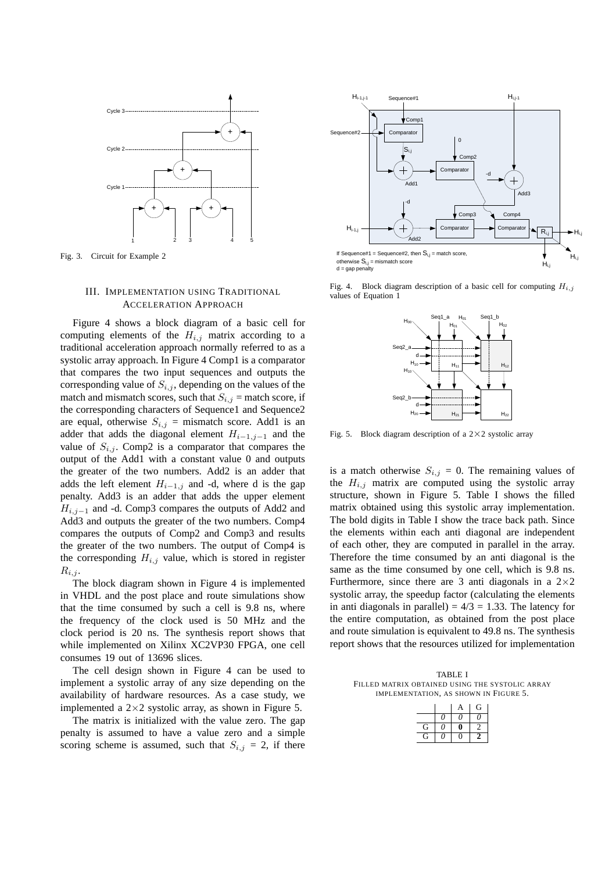

Fig. 3. Circuit for Example 2

## III. IMPLEMENTATION USING TRADITIONAL ACCELERATION APPROACH

Figure 4 shows a block diagram of a basic cell for computing elements of the  $H_{i,j}$  matrix according to a traditional acceleration approach normally referred to as a systolic array approach. In Figure 4 Comp1 is a comparator that compares the two input sequences and outputs the corresponding value of  $S_{i,j}$ , depending on the values of the match and mismatch scores, such that  $S_{i,j}$  = match score, if the corresponding characters of Sequence1 and Sequence2 are equal, otherwise  $S_{i,j}$  = mismatch score. Add1 is an adder that adds the diagonal element  $H_{i-1,j-1}$  and the value of  $S_{i,j}$ . Comp2 is a comparator that compares the output of the Add1 with a constant value 0 and outputs the greater of the two numbers. Add2 is an adder that adds the left element  $H_{i-1,j}$  and -d, where d is the gap penalty. Add3 is an adder that adds the upper element  $H_{i,j-1}$  and -d. Comp3 compares the outputs of Add2 and Add3 and outputs the greater of the two numbers. Comp4 compares the outputs of Comp2 and Comp3 and results the greater of the two numbers. The output of Comp4 is the corresponding  $H_{i,j}$  value, which is stored in register  $R_{i,j}$ .

The block diagram shown in Figure 4 is implemented in VHDL and the post place and route simulations show that the time consumed by such a cell is 9.8 ns, where the frequency of the clock used is 50 MHz and the clock period is 20 ns. The synthesis report shows that while implemented on Xilinx XC2VP30 FPGA, one cell consumes 19 out of 13696 slices.

The cell design shown in Figure 4 can be used to implement a systolic array of any size depending on the availability of hardware resources. As a case study, we implemented a  $2\times2$  systolic array, as shown in Figure 5.

The matrix is initialized with the value zero. The gap penalty is assumed to have a value zero and a simple scoring scheme is assumed, such that  $S_{i,j} = 2$ , if there



Fig. 4. Block diagram description of a basic cell for computing  $H_{i,j}$ values of Equation 1



Fig. 5. Block diagram description of a  $2\times 2$  systolic array

is a match otherwise  $S_{i,j} = 0$ . The remaining values of the  $H_{i,j}$  matrix are computed using the systolic array structure, shown in Figure 5. Table I shows the filled matrix obtained using this systolic array implementation. The bold digits in Table I show the trace back path. Since the elements within each anti diagonal are independent of each other, they are computed in parallel in the array. Therefore the time consumed by an anti diagonal is the same as the time consumed by one cell, which is 9.8 ns. Furthermore, since there are 3 anti diagonals in a  $2\times 2$ systolic array, the speedup factor (calculating the elements in anti diagonals in parallel) =  $4/3$  = 1.33. The latency for the entire computation, as obtained from the post place and route simulation is equivalent to 49.8 ns. The synthesis report shows that the resources utilized for implementation

TABLE I FILLED MATRIX OBTAINED USING THE SYSTOLIC ARRAY IMPLEMENTATION, AS SHOWN IN FIGURE 5.

|   |     | А  | G |
|---|-----|----|---|
|   | N   | 11 | 7 |
| G | ( ) |    |   |
| G | 7   |    |   |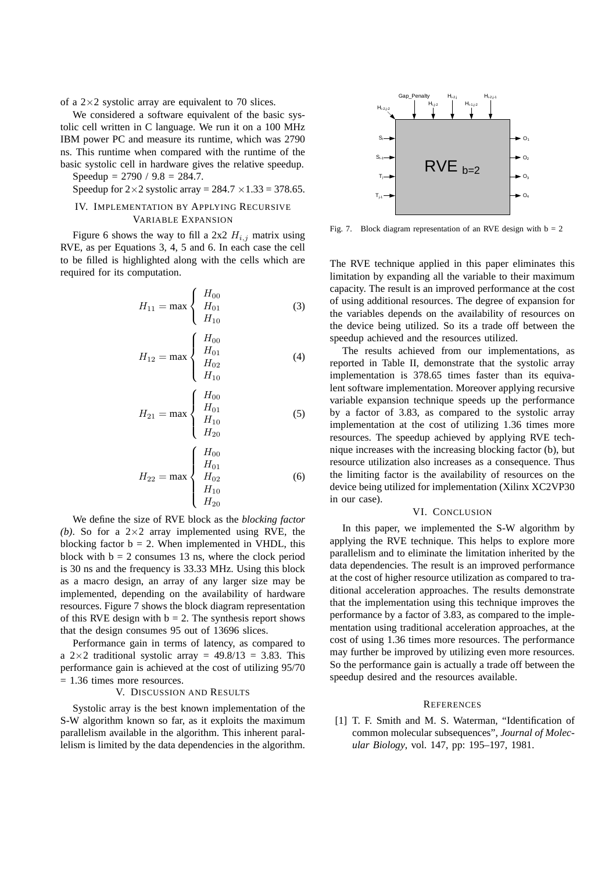of a  $2\times2$  systolic array are equivalent to 70 slices.

We considered a software equivalent of the basic systolic cell written in C language. We run it on a 100 MHz IBM power PC and measure its runtime, which was 2790 ns. This runtime when compared with the runtime of the basic systolic cell in hardware gives the relative speedup. Speedup =  $2790 / 9.8 = 284.7$ .

Speedup for  $2\times2$  systolic array =  $284.7 \times 1.33 = 378.65$ .

## IV. IMPLEMENTATION BY APPLYING RECURSIVE VARIABLE EXPANSION

Figure 6 shows the way to fill a 2x2  $H_{i,j}$  matrix using RVE, as per Equations 3, 4, 5 and 6. In each case the cell to be filled is highlighted along with the cells which are required for its computation.

 $\ddot{ }$ 

$$
H_{11} = \max \begin{cases} H_{00} \\ H_{01} \\ H_{10} \end{cases}
$$
 (3)

$$
H_{12} = \max \begin{cases} H_{00} \\ H_{01} \\ H_{02} \\ H_{10} \end{cases}
$$
 (4)

$$
H_{21} = \max \begin{cases} H_{00} \\ H_{01} \\ H_{10} \\ H_{20} \end{cases}
$$
 (5)

$$
H_{22} = \max \begin{cases} H_{00} \\ H_{01} \\ H_{02} \\ H_{10} \\ H_{20} \end{cases}
$$
 (6)

We define the size of RVE block as the *blocking factor (b)*. So for a  $2 \times 2$  array implemented using RVE, the blocking factor  $b = 2$ . When implemented in VHDL, this block with  $b = 2$  consumes 13 ns, where the clock period is 30 ns and the frequency is 33.33 MHz. Using this block as a macro design, an array of any larger size may be implemented, depending on the availability of hardware resources. Figure 7 shows the block diagram representation of this RVE design with  $b = 2$ . The synthesis report shows that the design consumes 95 out of 13696 slices.

Performance gain in terms of latency, as compared to a  $2 \times 2$  traditional systolic array = 49.8/13 = 3.83. This performance gain is achieved at the cost of utilizing 95/70 = 1.36 times more resources.

## V. DISCUSSION AND RESULTS

Systolic array is the best known implementation of the S-W algorithm known so far, as it exploits the maximum parallelism available in the algorithm. This inherent parallelism is limited by the data dependencies in the algorithm.



Fig. 7. Block diagram representation of an RVE design with  $b = 2$ 

The RVE technique applied in this paper eliminates this limitation by expanding all the variable to their maximum capacity. The result is an improved performance at the cost of using additional resources. The degree of expansion for the variables depends on the availability of resources on the device being utilized. So its a trade off between the speedup achieved and the resources utilized.

The results achieved from our implementations, as reported in Table II, demonstrate that the systolic array implementation is 378.65 times faster than its equivalent software implementation. Moreover applying recursive variable expansion technique speeds up the performance by a factor of 3.83, as compared to the systolic array implementation at the cost of utilizing 1.36 times more resources. The speedup achieved by applying RVE technique increases with the increasing blocking factor (b), but resource utilization also increases as a consequence. Thus the limiting factor is the availability of resources on the device being utilized for implementation (Xilinx XC2VP30 in our case).

#### VI. CONCLUSION

In this paper, we implemented the S-W algorithm by applying the RVE technique. This helps to explore more parallelism and to eliminate the limitation inherited by the data dependencies. The result is an improved performance at the cost of higher resource utilization as compared to traditional acceleration approaches. The results demonstrate that the implementation using this technique improves the performance by a factor of 3.83, as compared to the implementation using traditional acceleration approaches, at the cost of using 1.36 times more resources. The performance may further be improved by utilizing even more resources. So the performance gain is actually a trade off between the speedup desired and the resources available.

#### **REFERENCES**

[1] T. F. Smith and M. S. Waterman, "Identification of common molecular subsequences", *Journal of Molecular Biology*, vol. 147, pp: 195–197, 1981.